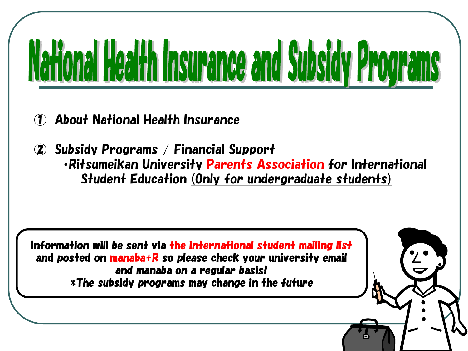# National Health Insurance and Subsidy Programs

- ① About National Health Insurance
- ② Subsidy Programs / Financial Support ・Ritsumeikan University Parents Association for International Student Education (Only for undergraduate students)

1

Information will be sent via the international student mailing list and posted on manaba+R so please check your university email and manaba on a regular basis! \*The subsidy programs may change in the future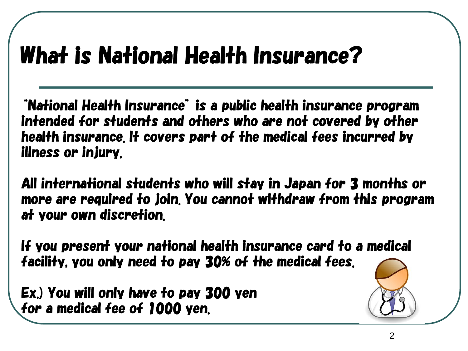## What is National Health Insurance?

"National Health Insurance" is a public health insurance program intended for students and others who are not covered by other health insurance. It covers part of the medical fees incurred by illness or injury.

All international students who will stay in Japan for 3 months or more are required to join. You cannot withdraw from this program at your own discretion.

If you present your national health insurance card to a medical facility, you only need to pay 30% of the medical fees.

Ex.) You will only have to pay 300 yen for a medical fee of 1000 yen.

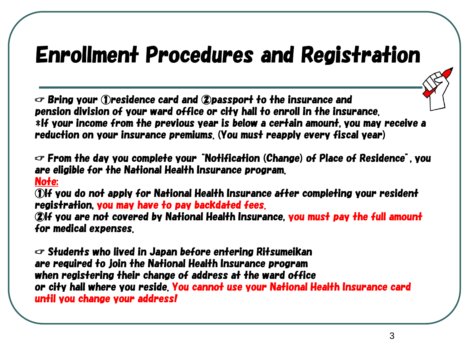### Enrollment Procedures and Registration

☞ Bring your ①residence card and ②passport to the insurance and pension division of your ward office or city hall to enroll in the insurance. \*If your income from the previous year is below a certain amount, you may receive a reduction on your insurance premiums. (You must reapply every fiscal year)

☞ From the day you complete your "Notification (Change) of Place of Residence", you are eligible for the National Health Insurance program.

#### Note:

①If you do not apply for National Health Insurance after completing your resident registration, you may have to pay backdated fees.

②If you are not covered by National Health Insurance, you must pay the full amount for medical expenses.

☞ Students who lived in Japan before entering Ritsumeikan are required to join the National Health Insurance program when registering their change of address at the ward office or city hall where you reside. You cannot use your National Health Insurance card until you change your address!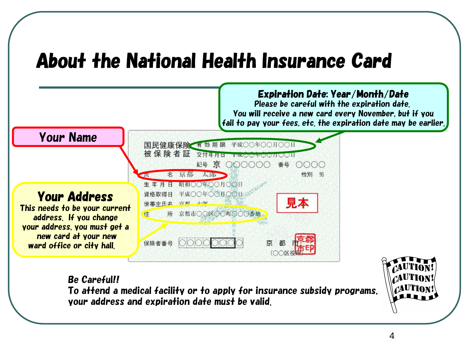#### About the National Health Insurance Card



Be Careful!! To attend a medical facility or to apply for insurance subsidy programs, your address and expiration date must be valid.

4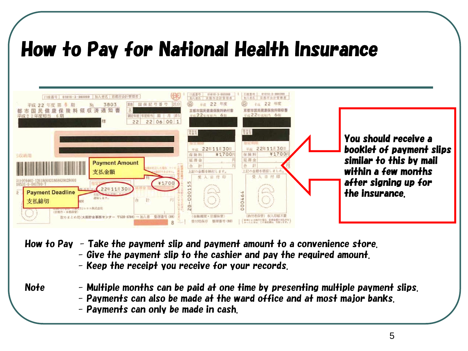#### How to Pay for National Health Insurance



- How to Pay Take the payment slip and payment amount to a convenience store.
	- Give the payment slip to the cashier and pay the required amount.
	- Keep the receipt you receive for your records.

#### Note  $\blacksquare$  - Multiple months can be paid at one time by presenting multiple payment slips.

- Payments can also be made at the ward office and at most major banks.
- Payments can only be made in cash.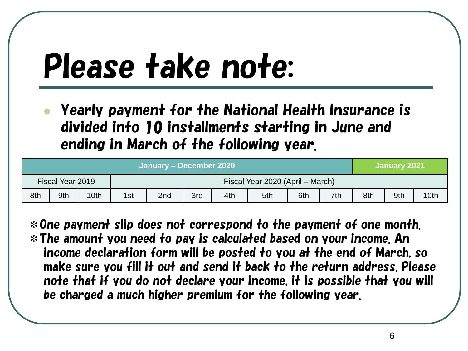## Please take note:

⚫ Yearly payment for the National Health Insurance is divided into 10 installments starting in June and ending in March of the following year.

| January – December 2020 |     |      |                                  |                 |     |     |     |     |     | January 2021 |     |      |
|-------------------------|-----|------|----------------------------------|-----------------|-----|-----|-----|-----|-----|--------------|-----|------|
| Fiscal Year 2019        |     |      | Fiscal Year 2020 (April – March) |                 |     |     |     |     |     |              |     |      |
| 8th                     | 9th | 10th | 1st                              | 2 <sub>nd</sub> | 3rd | 4th | 5th | 6th | 7th | 8th          | 9th | 10th |

\*One payment slip does not correspond to the payment of one month. \*The amount you need to pay is calculated based on your income. An income declaration form will be posted to you at the end of March, so make sure you fill it out and send it back to the return address. Please note that if you do not declare your income, it is possible that you will be charged a much higher premium for the following year.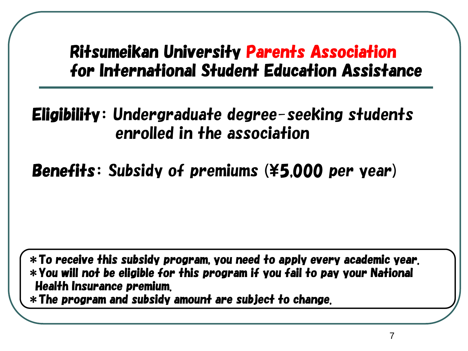#### Ritsumeikan University Parents Association for International Student Education Assistance

Eligibility: Undergraduate degree-seeking students enrolled in the association

Benefits: Subsidy of premiums (¥5,000 per year)

\*To receive this subsidy program, you need to apply every academic year. \*You will not be eligible for this program if you fail to pay your National Health Insurance premium.

\*The program and subsidy amount are subject to change.